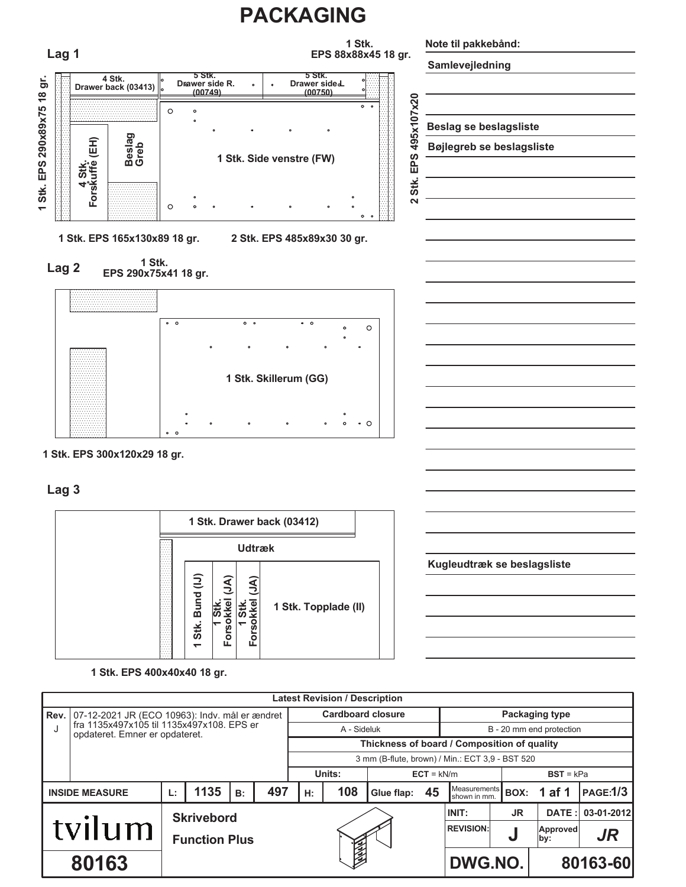

**1 Stk. EPS 300x120x29 18 gr.**

**Lag 3**



**Kugleudtræk se beslagsliste**

**1 Stk. EPS 400x40x40 18 gr.**

|                                                                             | <b>Latest Revision / Description</b>                         |    |                      |    |                        |    |                                                 |            |    |                                     |             |                 |                 |  |  |
|-----------------------------------------------------------------------------|--------------------------------------------------------------|----|----------------------|----|------------------------|----|-------------------------------------------------|------------|----|-------------------------------------|-------------|-----------------|-----------------|--|--|
|                                                                             | <b>Rev.</b>   07-12-2021 JR (ECO 10963): Indv. mål er ændret |    |                      |    |                        |    | <b>Cardboard closure</b>                        |            |    | Packaging type                      |             |                 |                 |  |  |
| fra 1135x497x105 til 1135x497x108. EPS er<br>opdateret. Emner er opdateret. |                                                              |    |                      |    |                        |    | A - Sideluk                                     |            |    | B - 20 mm end protection            |             |                 |                 |  |  |
|                                                                             |                                                              |    |                      |    |                        |    | Thickness of board / Composition of quality     |            |    |                                     |             |                 |                 |  |  |
|                                                                             |                                                              |    |                      |    |                        |    | 3 mm (B-flute, brown) / Min.: ECT 3,9 - BST 520 |            |    |                                     |             |                 |                 |  |  |
|                                                                             |                                                              |    |                      |    | Units:<br>$ECT = kN/m$ |    |                                                 |            |    |                                     | $BST = kPa$ |                 |                 |  |  |
|                                                                             | <b>INSIDE MEASURE</b>                                        | Ŀ. | 1135                 | B: | 497                    | H: | 108                                             | Glue flap: | 45 | <b>Measurements</b><br>shown in mm. | BOX:        | 1 af 1          | <b>PAGE:1/3</b> |  |  |
|                                                                             |                                                              |    | <b>Skrivebord</b>    |    |                        |    |                                                 |            |    | INIT:                               | JR.         | DATE:           | 03-01-2012      |  |  |
| tvilum                                                                      |                                                              |    | <b>Function Plus</b> |    |                        |    |                                                 |            |    | <b>REVISION:</b>                    | u           | Approved<br>by: | <b>JR</b>       |  |  |
| 80163                                                                       |                                                              |    |                      |    |                        |    |                                                 |            |    | DWG.NO.                             |             | 80163-60        |                 |  |  |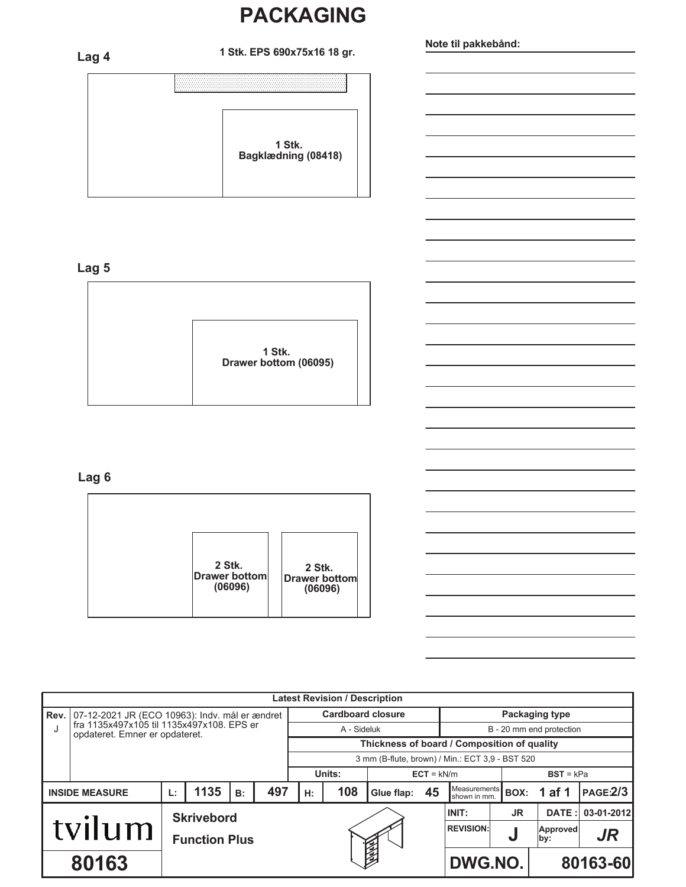# **PACKAGING**

**Bagklædning (08418) 1 Stk. 1 Stk. EPS 690x75x16 18 gr. Lag 4**

## **Lag 5**



### **Lag 6**

| 2 Stk.<br><b>Drawer bottom</b><br>(06096) | 2 Stk.<br>Drawer bottom<br>(06096) |
|-------------------------------------------|------------------------------------|

|                                                                             | <b>Latest Revision / Description</b>           |                      |  |  |                                             |                                                 |     |            |                          |                              |       |                  |                |  |
|-----------------------------------------------------------------------------|------------------------------------------------|----------------------|--|--|---------------------------------------------|-------------------------------------------------|-----|------------|--------------------------|------------------------------|-------|------------------|----------------|--|
| Rev.                                                                        | 07-12-2021 JR (ECO 10963): Indv. mål er ændret |                      |  |  |                                             | <b>Cardboard closure</b>                        |     |            |                          | <b>Packaging type</b>        |       |                  |                |  |
| fra 1135x497x105 til 1135x497x108. EPS er<br>opdateret. Emner er opdateret. |                                                |                      |  |  |                                             | A - Sideluk                                     |     |            | B - 20 mm end protection |                              |       |                  |                |  |
|                                                                             |                                                |                      |  |  | Thickness of board / Composition of quality |                                                 |     |            |                          |                              |       |                  |                |  |
|                                                                             |                                                |                      |  |  |                                             | 3 mm (B-flute, brown) / Min.: ECT 3,9 - BST 520 |     |            |                          |                              |       |                  |                |  |
|                                                                             |                                                |                      |  |  |                                             | Units:<br>$ECT = kN/m$                          |     |            |                          |                              |       | $BST = kPa$      |                |  |
| 1135<br><b>INSIDE MEASURE</b><br>L:<br>B:                                   |                                                |                      |  |  | 497                                         | H:                                              | 108 | Glue flap: | 45                       | Measurements<br>shown in mm. | BOX:  | 1 af 1           | <b>PAGE2/3</b> |  |
|                                                                             |                                                | <b>Skrivebord</b>    |  |  |                                             |                                                 |     |            | INIT:                    | <b>JR</b>                    | DATE: | 03-01-2012       |                |  |
|                                                                             | tvilum                                         | <b>Function Plus</b> |  |  |                                             |                                                 |     |            |                          | <b>REVISION:</b>             | U     | Approved<br> by: | JR             |  |
| 80163                                                                       |                                                |                      |  |  |                                             |                                                 |     |            |                          | DWG.NO.                      |       |                  | 80163-60       |  |

**Note til pakkebånd:**